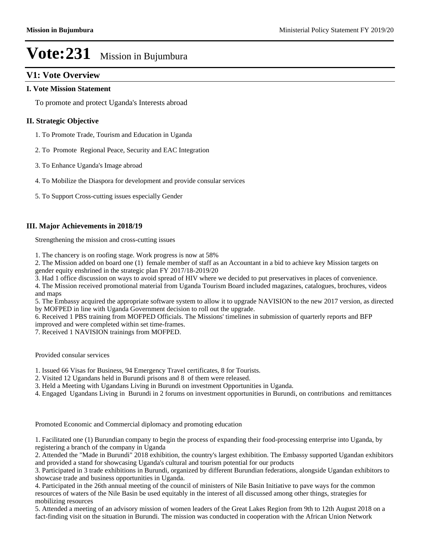#### **V1: Vote Overview**

#### **I. Vote Mission Statement**

To promote and protect Uganda's Interests abroad

#### **II. Strategic Objective**

- 1. To Promote Trade, Tourism and Education in Uganda
- 2. To Promote Regional Peace, Security and EAC Integration
- 3. To Enhance Uganda's Image abroad
- 4. To Mobilize the Diaspora for development and provide consular services
- 5. To Support Cross-cutting issues especially Gender

#### **III. Major Achievements in 2018/19**

Strengthening the mission and cross-cutting issues

1. The chancery is on roofing stage. Work progress is now at 58%

2. The Mission added on board one (1) female member of staff as an Accountant in a bid to achieve key Mission targets on gender equity enshrined in the strategic plan FY 2017/18-2019/20

3. Had 1 office discussion on ways to avoid spread of HIV where we decided to put preservatives in places of convenience.

4. The Mission received promotional material from Uganda Tourism Board included magazines, catalogues, brochures, videos and maps

5. The Embassy acquired the appropriate software system to allow it to upgrade NAVISION to the new 2017 version, as directed by MOFPED in line with Uganda Government decision to roll out the upgrade.

6. Received 1 PBS training from MOFPED Officials. The Missions' timelines in submission of quarterly reports and BFP improved and were completed within set time-frames.

7. Received 1 NAVISION trainings from MOFPED.

Provided consular services

- 1. Issued 66 Visas for Business, 94 Emergency Travel certificates, 8 for Tourists.
- 2. Visited 12 Ugandans held in Burundi prisons and 8 of them were released.
- 3. Held a Meeting with Ugandans Living in Burundi on investment Opportunities in Uganda.
- 4. Engaged Ugandans Living in Burundi in 2 forums on investment opportunities in Burundi, on contributions and remittances

Promoted Economic and Commercial diplomacy and promoting education

1. Facilitated one (1) Burundian company to begin the process of expanding their food-processing enterprise into Uganda, by registering a branch of the company in Uganda

2. Attended the "Made in Burundi" 2018 exhibition, the country's largest exhibition. The Embassy supported Ugandan exhibitors and provided a stand for showcasing Uganda's cultural and tourism potential for our products

3. Participated in 3 trade exhibitions in Burundi, organized by different Burundian federations, alongside Ugandan exhibitors to showcase trade and business opportunities in Uganda.

4. Participated in the 26th annual meeting of the council of ministers of Nile Basin Initiative to pave ways for the common resources of waters of the Nile Basin be used equitably in the interest of all discussed among other things, strategies for mobilizing resources

5. Attended a meeting of an advisory mission of women leaders of the Great Lakes Region from 9th to 12th August 2018 on a fact-finding visit on the situation in Burundi. The mission was conducted in cooperation with the African Union Network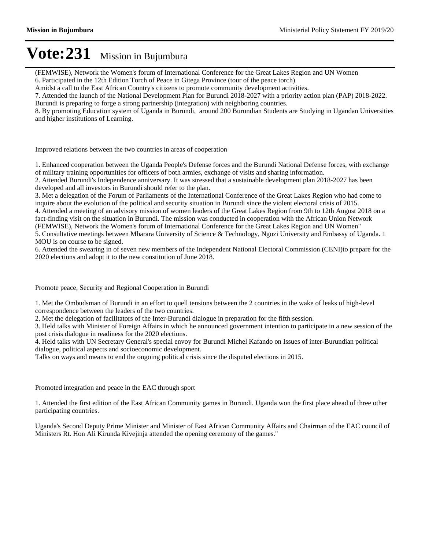(FEMWISE), Network the Women's forum of International Conference for the Great Lakes Region and UN Women 6. Participated in the 12th Edition Torch of Peace in Gitega Province (tour of the peace torch)

Amidst a call to the East African Country's citizens to promote community development activities.

7. Attended the launch of the National Development Plan for Burundi 2018-2027 with a priority action plan (PAP) 2018-2022.

Burundi is preparing to forge a strong partnership (integration) with neighboring countries.

8. By promoting Education system of Uganda in Burundi, around 200 Burundian Students are Studying in Ugandan Universities and higher institutions of Learning.

Improved relations between the two countries in areas of cooperation

1. Enhanced cooperation between the Uganda People's Defense forces and the Burundi National Defense forces, with exchange of military training opportunities for officers of both armies, exchange of visits and sharing information.

2. Attended Burundi's Independence anniversary. It was stressed that a sustainable development plan 2018-2027 has been developed and all investors in Burundi should refer to the plan.

3. Met a delegation of the Forum of Parliaments of the International Conference of the Great Lakes Region who had come to inquire about the evolution of the political and security situation in Burundi since the violent electoral crisis of 2015.

4. Attended a meeting of an advisory mission of women leaders of the Great Lakes Region from 9th to 12th August 2018 on a fact-finding visit on the situation in Burundi. The mission was conducted in cooperation with the African Union Network (FEMWISE), Network the Women's forum of International Conference for the Great Lakes Region and UN Women"

5. Consultative meetings between Mbarara University of Science & Technology, Ngozi University and Embassy of Uganda. 1 MOU is on course to be signed.

6. Attended the swearing in of seven new members of the Independent National Electoral Commission (CENI)to prepare for the 2020 elections and adopt it to the new constitution of June 2018.

Promote peace, Security and Regional Cooperation in Burundi

1. Met the Ombudsman of Burundi in an effort to quell tensions between the 2 countries in the wake of leaks of high-level correspondence between the leaders of the two countries.

2. Met the delegation of facilitators of the Inter-Burundi dialogue in preparation for the fifth session.

3. Held talks with Minister of Foreign Affairs in which he announced government intention to participate in a new session of the post crisis dialogue in readiness for the 2020 elections.

4. Held talks with UN Secretary General's special envoy for Burundi Michel Kafando on Issues of inter-Burundian political dialogue, political aspects and socioeconomic development.

Talks on ways and means to end the ongoing political crisis since the disputed elections in 2015.

Promoted integration and peace in the EAC through sport

1. Attended the first edition of the East African Community games in Burundi. Uganda won the first place ahead of three other participating countries.

Uganda's Second Deputy Prime Minister and Minister of East African Community Affairs and Chairman of the EAC council of Ministers Rt. Hon Ali Kirunda Kivejinja attended the opening ceremony of the games."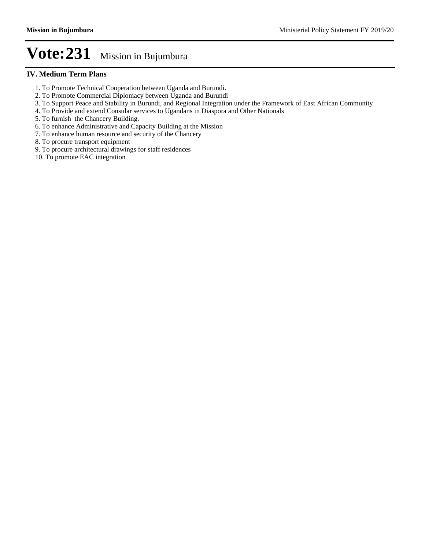#### **IV. Medium Term Plans**

- 1. To Promote Technical Cooperation between Uganda and Burundi.
- 2. To Promote Commercial Diplomacy between Uganda and Burundi
- 3. To Support Peace and Stability in Burundi, and Regional Integration under the Framework of East African Community
- 4. To Provide and extend Consular services to Ugandans in Diaspora and Other Nationals
- 5. To furnish the Chancery Building.
- 6. To enhance Administrative and Capacity Building at the Mission
- 7. To enhance human resource and security of the Chancery
- 8. To procure transport equipment
- 9. To procure architectural drawings for staff residences
- 10. To promote EAC integration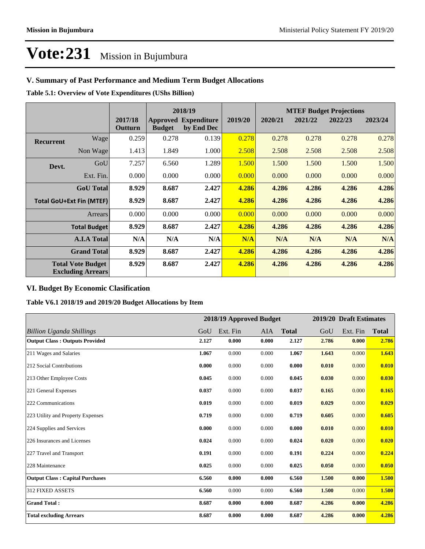#### **V. Summary of Past Performance and Medium Term Budget Allocations**

**Table 5.1: Overview of Vote Expenditures (UShs Billion)**

|                                                      |                  |                    |               | 2018/19                                   |         |         |         | <b>MTEF Budget Projections</b> |         |
|------------------------------------------------------|------------------|--------------------|---------------|-------------------------------------------|---------|---------|---------|--------------------------------|---------|
|                                                      |                  | 2017/18<br>Outturn | <b>Budget</b> | <b>Approved Expenditure</b><br>by End Dec | 2019/20 | 2020/21 | 2021/22 | 2022/23                        | 2023/24 |
| <b>Recurrent</b>                                     | Wage             | 0.259              | 0.278         | 0.139                                     | 0.278   | 0.278   | 0.278   | 0.278                          | 0.278   |
|                                                      | Non Wage         | 1.413              | 1.849         | 1.000                                     | 2.508   | 2.508   | 2.508   | 2.508                          | 2.508   |
| Devt.                                                | GoU              | 7.257              | 6.560         | 1.289                                     | 1.500   | 1.500   | 1.500   | 1.500                          | 1.500   |
|                                                      | Ext. Fin.        | 0.000              | 0.000         | 0.000                                     | 0.000   | 0.000   | 0.000   | 0.000                          | 0.000   |
|                                                      | <b>GoU</b> Total | 8.929              | 8.687         | 2.427                                     | 4.286   | 4.286   | 4.286   | 4.286                          | 4.286   |
| <b>Total GoU+Ext Fin (MTEF)</b>                      |                  | 8.929              | 8.687         | 2.427                                     | 4.286   | 4.286   | 4.286   | 4.286                          | 4.286   |
|                                                      | Arrears          | 0.000              | 0.000         | 0.000                                     | 0.000   | 0.000   | 0.000   | 0.000                          | 0.000   |
| <b>Total Budget</b>                                  |                  | 8.929              | 8.687         | 2.427                                     | 4.286   | 4.286   | 4.286   | 4.286                          | 4.286   |
| <b>A.I.A Total</b>                                   |                  | N/A                | N/A           | N/A                                       | N/A     | N/A     | N/A     | N/A                            | N/A     |
| <b>Grand Total</b>                                   |                  | 8.929              | 8.687         | 2.427                                     | 4.286   | 4.286   | 4.286   | 4.286                          | 4.286   |
| <b>Total Vote Budget</b><br><b>Excluding Arrears</b> |                  | 8.929              | 8.687         | 2.427                                     | 4.286   | 4.286   | 4.286   | 4.286                          | 4.286   |

#### **VI. Budget By Economic Clasification**

**Table V6.1 2018/19 and 2019/20 Budget Allocations by Item**

|                                        |       | 2018/19 Approved Budget |       |              |       | 2019/20 Draft Estimates |              |
|----------------------------------------|-------|-------------------------|-------|--------------|-------|-------------------------|--------------|
| Billion Uganda Shillings               | GoU   | Ext. Fin                | AIA   | <b>Total</b> | GoU   | Ext. Fin                | <b>Total</b> |
| <b>Output Class: Outputs Provided</b>  | 2.127 | 0.000                   | 0.000 | 2.127        | 2.786 | 0.000                   | 2.786        |
| 211 Wages and Salaries                 | 1.067 | 0.000                   | 0.000 | 1.067        | 1.643 | 0.000                   | 1.643        |
| 212 Social Contributions               | 0.000 | 0.000                   | 0.000 | 0.000        | 0.010 | 0.000                   | 0.010        |
| 213 Other Employee Costs               | 0.045 | 0.000                   | 0.000 | 0.045        | 0.030 | 0.000                   | 0.030        |
| 221 General Expenses                   | 0.037 | 0.000                   | 0.000 | 0.037        | 0.165 | 0.000                   | 0.165        |
| 222 Communications                     | 0.019 | 0.000                   | 0.000 | 0.019        | 0.029 | 0.000                   | 0.029        |
| 223 Utility and Property Expenses      | 0.719 | 0.000                   | 0.000 | 0.719        | 0.605 | 0.000                   | 0.605        |
| 224 Supplies and Services              | 0.000 | 0.000                   | 0.000 | 0.000        | 0.010 | 0.000                   | 0.010        |
| 226 Insurances and Licenses            | 0.024 | 0.000                   | 0.000 | 0.024        | 0.020 | 0.000                   | 0.020        |
| 227 Travel and Transport               | 0.191 | 0.000                   | 0.000 | 0.191        | 0.224 | 0.000                   | 0.224        |
| 228 Maintenance                        | 0.025 | 0.000                   | 0.000 | 0.025        | 0.050 | 0.000                   | 0.050        |
| <b>Output Class: Capital Purchases</b> | 6.560 | 0.000                   | 0.000 | 6.560        | 1.500 | 0.000                   | 1.500        |
| 312 FIXED ASSETS                       | 6.560 | 0.000                   | 0.000 | 6.560        | 1.500 | 0.000                   | 1.500        |
| <b>Grand Total:</b>                    | 8.687 | 0.000                   | 0.000 | 8.687        | 4.286 | 0.000                   | 4.286        |
| <b>Total excluding Arrears</b>         | 8.687 | 0.000                   | 0.000 | 8.687        | 4.286 | 0.000                   | 4.286        |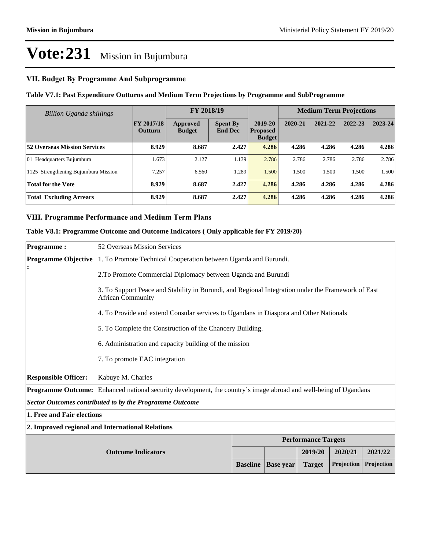#### **VII. Budget By Programme And Subprogramme**

#### **Table V7.1: Past Expenditure Outturns and Medium Term Projections by Programme and SubProgramme**

| Billion Uganda shillings             |                                     | FY 2018/19                |                                   |                                             | <b>Medium Term Projections</b> |         |         |         |
|--------------------------------------|-------------------------------------|---------------------------|-----------------------------------|---------------------------------------------|--------------------------------|---------|---------|---------|
|                                      | <b>FY 2017/18</b><br><b>Outturn</b> | Approved<br><b>Budget</b> | <b>Spent By</b><br><b>End Dec</b> | 2019-20<br><b>Proposed</b><br><b>Budget</b> | 2020-21                        | 2021-22 | 2022-23 | 2023-24 |
| <b>52 Overseas Mission Services</b>  | 8.929                               | 8.687                     | 2.427                             | 4.286                                       | 4.286                          | 4.286   | 4.286   | 4.286   |
| 01 Headquarters Bujumbura            | 1.673                               | 2.127                     | 1.139                             | 2.786                                       | 2.786                          | 2.786   | 2.786   | 2.786   |
| 1125 Strengthening Bujumbura Mission | 7.257                               | 6.560                     | 1.289                             | 1.500                                       | 1.500                          | 1.500   | 1.500   | 1.500   |
| <b>Total for the Vote</b>            | 8.929                               | 8.687                     | 2.427                             | 4.286                                       | 4.286                          | 4.286   | 4.286   | 4.286   |
| <b>Total Excluding Arrears</b>       | 8.929                               | 8.687                     | 2.427                             | 4.286                                       | 4.286                          | 4.286   | 4.286   | 4.286   |

#### **VIII. Programme Performance and Medium Term Plans**

#### **Table V8.1: Programme Outcome and Outcome Indicators ( Only applicable for FY 2019/20)**

| <b>Programme:</b>           | 52 Overseas Mission Services                                                                                                   |                 |                  |                            |            |            |  |  |
|-----------------------------|--------------------------------------------------------------------------------------------------------------------------------|-----------------|------------------|----------------------------|------------|------------|--|--|
|                             | <b>Programme Objective</b> 1. To Promote Technical Cooperation between Uganda and Burundi.                                     |                 |                  |                            |            |            |  |  |
|                             | 2.To Promote Commercial Diplomacy between Uganda and Burundi                                                                   |                 |                  |                            |            |            |  |  |
|                             | 3. To Support Peace and Stability in Burundi, and Regional Integration under the Framework of East<br><b>African Community</b> |                 |                  |                            |            |            |  |  |
|                             | 4. To Provide and extend Consular services to Ugandans in Diaspora and Other Nationals                                         |                 |                  |                            |            |            |  |  |
|                             | 5. To Complete the Construction of the Chancery Building.                                                                      |                 |                  |                            |            |            |  |  |
|                             | 6. Administration and capacity building of the mission                                                                         |                 |                  |                            |            |            |  |  |
|                             | 7. To promote EAC integration                                                                                                  |                 |                  |                            |            |            |  |  |
| <b>Responsible Officer:</b> | Kabuye M. Charles                                                                                                              |                 |                  |                            |            |            |  |  |
|                             | <b>Programme Outcome:</b> Enhanced national security development, the country's image abroad and well-being of Ugandans        |                 |                  |                            |            |            |  |  |
|                             | <b>Sector Outcomes contributed to by the Programme Outcome</b>                                                                 |                 |                  |                            |            |            |  |  |
| 1. Free and Fair elections  |                                                                                                                                |                 |                  |                            |            |            |  |  |
|                             | 2. Improved regional and International Relations                                                                               |                 |                  |                            |            |            |  |  |
|                             |                                                                                                                                |                 |                  | <b>Performance Targets</b> |            |            |  |  |
|                             | <b>Outcome Indicators</b>                                                                                                      |                 |                  | 2019/20                    | 2020/21    | 2021/22    |  |  |
|                             |                                                                                                                                | <b>Baseline</b> | <b>Base year</b> | <b>Target</b>              | Projection | Projection |  |  |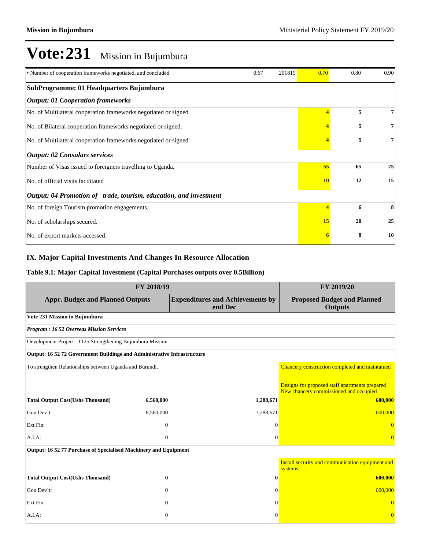| • Number of cooperation frameworks negotiated, and concluded             | 0.67 | 201819 | 0.70                    | 0.80 | 0.90 |
|--------------------------------------------------------------------------|------|--------|-------------------------|------|------|
| SubProgramme: 01 Headquarters Bujumbura                                  |      |        |                         |      |      |
| <b>Output: 01 Cooperation frameworks</b>                                 |      |        |                         |      |      |
| No. of Multilateral cooperation frameworks negotiated or signed          |      |        |                         | 5    | 7    |
| No. of Bilateral cooperation frameworks negotiated or signed.            |      |        |                         | 5    | 7    |
| No. of Multilateral cooperation frameworks negotiated or signed          |      |        |                         | 5    | 7    |
| <b>Output: 02 Consulars services</b>                                     |      |        |                         |      |      |
| Number of Visas issued to foreigners travelling to Uganda.               |      |        | 55                      | 65   | 75   |
| No. of official visits facilitated                                       |      |        |                         | 12   | 15   |
| <i>Output: 04 Promotion of trade, tourism, education, and investment</i> |      |        |                         |      |      |
| No. of foreign Tourism promotion engagements.                            |      |        | $\overline{\mathbf{A}}$ | 6    | 8    |
| No. of scholarships secured.                                             |      |        | 15                      | 20   | 25   |
| No. of export markets accessed.                                          |      |        |                         | 8    | 10   |

#### **IX. Major Capital Investments And Changes In Resource Allocation**

#### **Table 9.1: Major Capital Investment (Capital Purchases outputs over 0.5Billion)**

| FY 2018/19                                                              | FY 2019/20   |                                                    |                                                                                          |
|-------------------------------------------------------------------------|--------------|----------------------------------------------------|------------------------------------------------------------------------------------------|
| <b>Appr. Budget and Planned Outputs</b>                                 |              | <b>Expenditures and Achievements by</b><br>end Dec | <b>Proposed Budget and Planned</b><br><b>Outputs</b>                                     |
| Vote 231 Mission in Bujumbura                                           |              |                                                    |                                                                                          |
| <b>Program: 16 52 Overseas Mission Services</b>                         |              |                                                    |                                                                                          |
| Development Project : 1125 Strengthening Bujumbura Mission              |              |                                                    |                                                                                          |
| Output: 16 52 72 Government Buildings and Administrative Infrastructure |              |                                                    |                                                                                          |
| To strengthen Relationships between Uganda and Burundi.                 |              |                                                    | Chancery construction completed and maintained                                           |
|                                                                         |              |                                                    | Designs for proposed staff apartments prepared<br>New chancery commissioned and occupied |
| <b>Total Output Cost(Ushs Thousand)</b>                                 | 6,560,000    | 1,288,671                                          | 600,000                                                                                  |
| Gou Dev't:                                                              | 6,560,000    | 1,288,671                                          | 600,000                                                                                  |
| Ext Fin:                                                                | $\mathbf{0}$ | $\Omega$                                           | $\overline{0}$                                                                           |
| A.I.A.                                                                  | $\Omega$     | $\Omega$                                           | $\overline{0}$                                                                           |
| Output: 16 52 77 Purchase of Specialised Machinery and Equipment        |              |                                                    |                                                                                          |
|                                                                         |              |                                                    | Install security and communication equipment and<br>systems                              |
| <b>Total Output Cost(Ushs Thousand)</b>                                 | $\mathbf{0}$ | $\bf{0}$                                           | 600,000                                                                                  |
| Gou Dev't:                                                              | $\Omega$     | $\Omega$                                           | 600,000                                                                                  |
| Ext Fin:                                                                | $\Omega$     | $\Omega$                                           | $\overline{0}$                                                                           |
| A.I.A:                                                                  | $\mathbf{0}$ | $\Omega$                                           | $\overline{0}$                                                                           |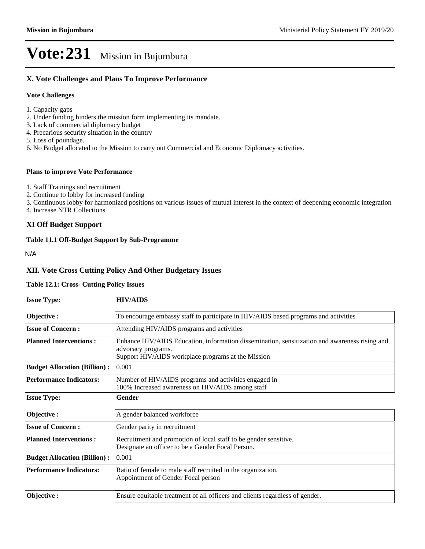#### **X. Vote Challenges and Plans To Improve Performance**

#### **Vote Challenges**

- 1. Capacity gaps
- 2. Under funding hinders the mission form implementing its mandate.
- 3. Lack of commercial diplomacy budget
- 4. Precarious security situation in the country
- 5. Loss of poundage.
- 6. No Budget allocated to the Mission to carry out Commercial and Economic Diplomacy activities.

#### **Plans to improve Vote Performance**

- 1. Staff Trainings and recruitment
- 2. Continue to lobby for increased funding
- 3. Continuous lobby for harmonized positions on various issues of mutual interest in the context of deepening economic integration
- 4. Increase NTR Collections

#### **XI Off Budget Support**

#### **Table 11.1 Off-Budget Support by Sub-Programme**

N/A

#### **XII. Vote Cross Cutting Policy And Other Budgetary Issues**

#### **Table 12.1: Cross- Cutting Policy Issues**

| <b>Issue Type:</b>                  | <b>HIV/AIDS</b>                                                                                                                                                           |
|-------------------------------------|---------------------------------------------------------------------------------------------------------------------------------------------------------------------------|
| Objective:                          | To encourage embassy staff to participate in HIV/AIDS based programs and activities                                                                                       |
| <b>Issue of Concern:</b>            | Attending HIV/AIDS programs and activities                                                                                                                                |
| <b>Planned Interventions:</b>       | Enhance HIV/AIDS Education, information dissemination, sensitization and awareness rising and<br>advocacy programs.<br>Support HIV/AIDS workplace programs at the Mission |
| <b>Budget Allocation (Billion):</b> | 0.001                                                                                                                                                                     |
| <b>Performance Indicators:</b>      | Number of HIV/AIDS programs and activities engaged in<br>100% Increased awareness on HIV/AIDS among staff                                                                 |
| <b>Issue Type:</b>                  | Gender                                                                                                                                                                    |
| Objective:                          | A gender balanced workforce                                                                                                                                               |
| <b>Issue of Concern:</b>            | Gender parity in recruitment                                                                                                                                              |
| <b>Planned Interventions:</b>       | Recruitment and promotion of local staff to be gender sensitive.<br>Designate an officer to be a Gender Focal Person.                                                     |
| <b>Budget Allocation (Billion):</b> | 0.001                                                                                                                                                                     |
| <b>Performance Indicators:</b>      | Ratio of female to male staff recruited in the organization.<br>Appointment of Gender Focal person                                                                        |
| Objective:                          | Ensure equitable treatment of all officers and clients regardless of gender.                                                                                              |